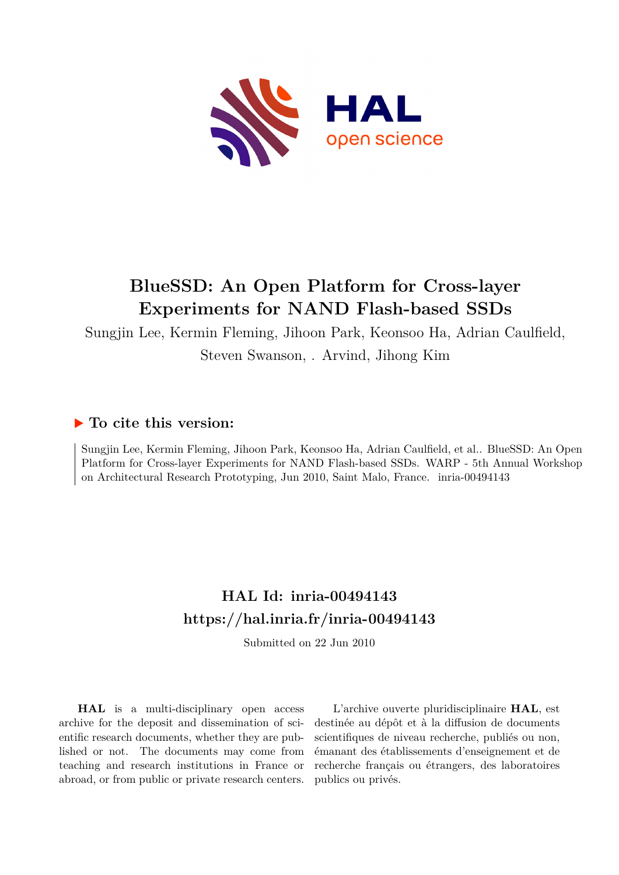

# **BlueSSD: An Open Platform for Cross-layer Experiments for NAND Flash-based SSDs**

Sungjin Lee, Kermin Fleming, Jihoon Park, Keonsoo Ha, Adrian Caulfield,

Steven Swanson, . Arvind, Jihong Kim

# **To cite this version:**

Sungjin Lee, Kermin Fleming, Jihoon Park, Keonsoo Ha, Adrian Caulfield, et al.. BlueSSD: An Open Platform for Cross-layer Experiments for NAND Flash-based SSDs. WARP - 5th Annual Workshop on Architectural Research Prototyping, Jun 2010, Saint Malo, France. inria-00494143

# **HAL Id: inria-00494143 <https://hal.inria.fr/inria-00494143>**

Submitted on 22 Jun 2010

**HAL** is a multi-disciplinary open access archive for the deposit and dissemination of scientific research documents, whether they are published or not. The documents may come from teaching and research institutions in France or abroad, or from public or private research centers.

L'archive ouverte pluridisciplinaire **HAL**, est destinée au dépôt et à la diffusion de documents scientifiques de niveau recherche, publiés ou non, émanant des établissements d'enseignement et de recherche français ou étrangers, des laboratoires publics ou privés.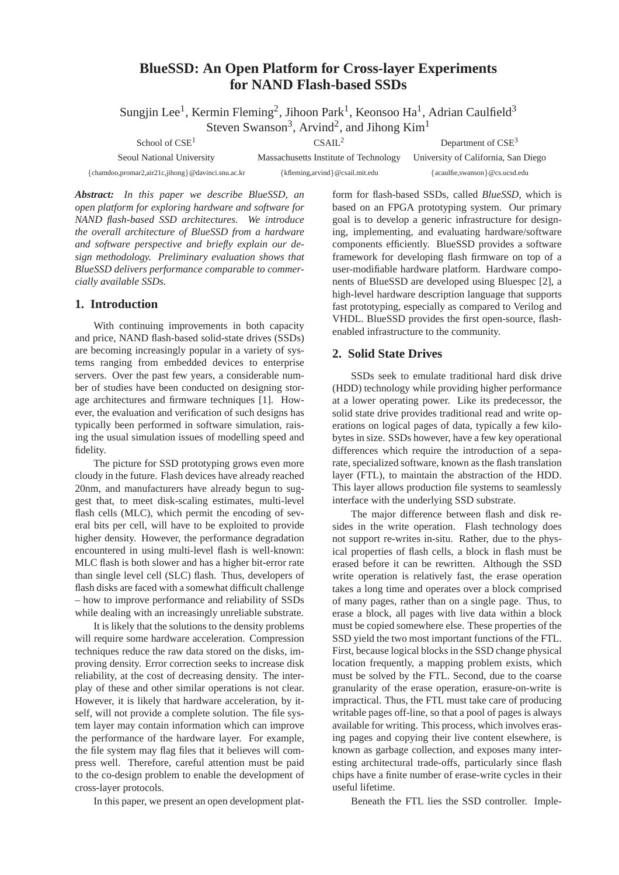## **BlueSSD: An Open Platform for Cross-layer Experiments for NAND Flash-based SSDs**

Sungjin Lee<sup>1</sup>, Kermin Fleming<sup>2</sup>, Jihoon Park<sup>1</sup>, Keonsoo Ha<sup>1</sup>, Adrian Caulfield<sup>3</sup> Steven Swanson<sup>3</sup>, Arvind<sup>2</sup>, and Jihong Kim<sup>1</sup>

School of  $CSE<sup>1</sup>$  CSAIL<sup>2</sup> Department of  $CSE<sup>3</sup>$ 

Seoul National University Massachusetts Institute of Technology University of California, San Diego {chamdoo,promar2,air21c,jihong}@davinci.snu.ac.kr {kfleming,arvind}@csail.mit.edu {acaulfie,swanson}@cs.ucsd.edu

*Abstract: In this paper we describe BlueSSD, an open platform for exploring hardware and software for NAND flash-based SSD architectures. We introduce the overall architecture of BlueSSD from a hardware and software perspective and briefly explain our design methodology. Preliminary evaluation shows that BlueSSD delivers performance comparable to commercially available SSDs.*

### **1. Introduction**

With continuing improvements in both capacity and price, NAND flash-based solid-state drives (SSDs) are becoming increasingly popular in a variety of systems ranging from embedded devices to enterprise servers. Over the past few years, a considerable number of studies have been conducted on designing storage architectures and firmware techniques [1]. However, the evaluation and verification of such designs has typically been performed in software simulation, raising the usual simulation issues of modelling speed and fidelity.

The picture for SSD prototyping grows even more cloudy in the future. Flash devices have already reached 20nm, and manufacturers have already begun to suggest that, to meet disk-scaling estimates, multi-level flash cells (MLC), which permit the encoding of several bits per cell, will have to be exploited to provide higher density. However, the performance degradation encountered in using multi-level flash is well-known: MLC flash is both slower and has a higher bit-error rate than single level cell (SLC) flash. Thus, developers of flash disks are faced with a somewhat difficult challenge – how to improve performance and reliability of SSDs while dealing with an increasingly unreliable substrate.

It is likely that the solutions to the density problems will require some hardware acceleration. Compression techniques reduce the raw data stored on the disks, improving density. Error correction seeks to increase disk reliability, at the cost of decreasing density. The interplay of these and other similar operations is not clear. However, it is likely that hardware acceleration, by itself, will not provide a complete solution. The file system layer may contain information which can improve the performance of the hardware layer. For example, the file system may flag files that it believes will compress well. Therefore, careful attention must be paid to the co-design problem to enable the development of cross-layer protocols.

In this paper, we present an open development plat-

form for flash-based SSDs, called *BlueSSD*, which is based on an FPGA prototyping system. Our primary goal is to develop a generic infrastructure for designing, implementing, and evaluating hardware/software components efficiently. BlueSSD provides a software framework for developing flash firmware on top of a user-modifiable hardware platform. Hardware components of BlueSSD are developed using Bluespec [2], a high-level hardware description language that supports fast prototyping, especially as compared to Verilog and VHDL. BlueSSD provides the first open-source, flashenabled infrastructure to the community.

## **2. Solid State Drives**

SSDs seek to emulate traditional hard disk drive (HDD) technology while providing higher performance at a lower operating power. Like its predecessor, the solid state drive provides traditional read and write operations on logical pages of data, typically a few kilobytes in size. SSDs however, have a few key operational differences which require the introduction of a separate, specialized software, known as the flash translation layer (FTL), to maintain the abstraction of the HDD. This layer allows production file systems to seamlessly interface with the underlying SSD substrate.

The major difference between flash and disk resides in the write operation. Flash technology does not support re-writes in-situ. Rather, due to the physical properties of flash cells, a block in flash must be erased before it can be rewritten. Although the SSD write operation is relatively fast, the erase operation takes a long time and operates over a block comprised of many pages, rather than on a single page. Thus, to erase a block, all pages with live data within a block must be copied somewhere else. These properties of the SSD yield the two most important functions of the FTL. First, because logical blocks in the SSD change physical location frequently, a mapping problem exists, which must be solved by the FTL. Second, due to the coarse granularity of the erase operation, erasure-on-write is impractical. Thus, the FTL must take care of producing writable pages off-line, so that a pool of pages is always available for writing. This process, which involves erasing pages and copying their live content elsewhere, is known as garbage collection, and exposes many interesting architectural trade-offs, particularly since flash chips have a finite number of erase-write cycles in their useful lifetime.

Beneath the FTL lies the SSD controller. Imple-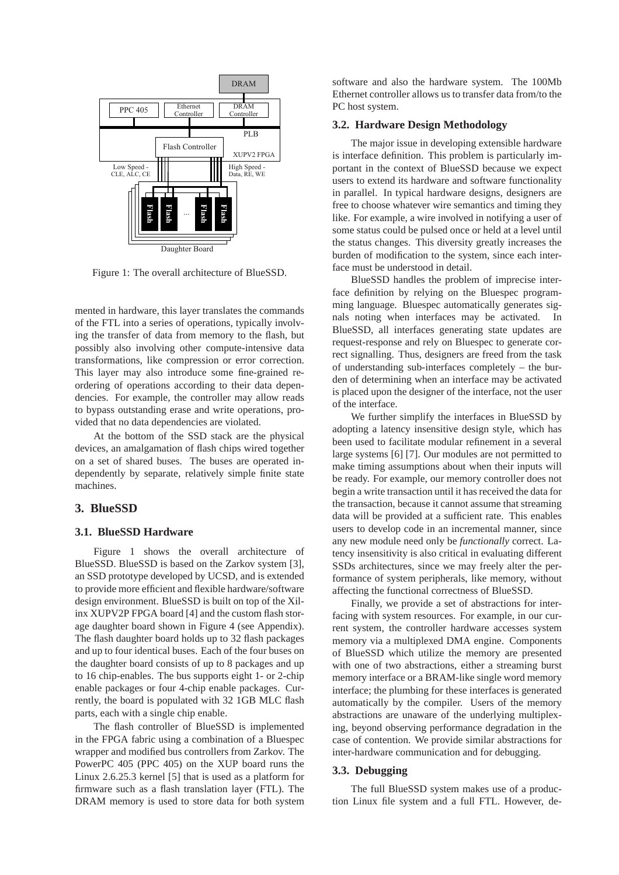

Figure 1: The overall architecture of BlueSSD.

mented in hardware, this layer translates the commands of the FTL into a series of operations, typically involving the transfer of data from memory to the flash, but possibly also involving other compute-intensive data transformations, like compression or error correction. This layer may also introduce some fine-grained reordering of operations according to their data dependencies. For example, the controller may allow reads to bypass outstanding erase and write operations, provided that no data dependencies are violated.

At the bottom of the SSD stack are the physical devices, an amalgamation of flash chips wired together on a set of shared buses. The buses are operated independently by separate, relatively simple finite state machines.

### **3. BlueSSD**

#### **3.1. BlueSSD Hardware**

Figure 1 shows the overall architecture of BlueSSD. BlueSSD is based on the Zarkov system [3], an SSD prototype developed by UCSD, and is extended to provide more efficient and flexible hardware/software design environment. BlueSSD is built on top of the Xilinx XUPV2P FPGA board [4] and the custom flash storage daughter board shown in Figure 4 (see Appendix). The flash daughter board holds up to 32 flash packages and up to four identical buses. Each of the four buses on the daughter board consists of up to 8 packages and up to 16 chip-enables. The bus supports eight 1- or 2-chip enable packages or four 4-chip enable packages. Currently, the board is populated with 32 1GB MLC flash parts, each with a single chip enable.

The flash controller of BlueSSD is implemented in the FPGA fabric using a combination of a Bluespec wrapper and modified bus controllers from Zarkov. The PowerPC 405 (PPC 405) on the XUP board runs the Linux 2.6.25.3 kernel [5] that is used as a platform for firmware such as a flash translation layer (FTL). The DRAM memory is used to store data for both system software and also the hardware system. The 100Mb Ethernet controller allows us to transfer data from/to the PC host system.

#### **3.2. Hardware Design Methodology**

The major issue in developing extensible hardware is interface definition. This problem is particularly important in the context of BlueSSD because we expect users to extend its hardware and software functionality in parallel. In typical hardware designs, designers are free to choose whatever wire semantics and timing they like. For example, a wire involved in notifying a user of some status could be pulsed once or held at a level until the status changes. This diversity greatly increases the burden of modification to the system, since each interface must be understood in detail.

BlueSSD handles the problem of imprecise interface definition by relying on the Bluespec programming language. Bluespec automatically generates signals noting when interfaces may be activated. In BlueSSD, all interfaces generating state updates are request-response and rely on Bluespec to generate correct signalling. Thus, designers are freed from the task of understanding sub-interfaces completely – the burden of determining when an interface may be activated is placed upon the designer of the interface, not the user of the interface.

We further simplify the interfaces in BlueSSD by adopting a latency insensitive design style, which has been used to facilitate modular refinement in a several large systems [6] [7]. Our modules are not permitted to make timing assumptions about when their inputs will be ready. For example, our memory controller does not begin a write transaction until it has received the data for the transaction, because it cannot assume that streaming data will be provided at a sufficient rate. This enables users to develop code in an incremental manner, since any new module need only be *functionally* correct. Latency insensitivity is also critical in evaluating different SSDs architectures, since we may freely alter the performance of system peripherals, like memory, without affecting the functional correctness of BlueSSD.

Finally, we provide a set of abstractions for interfacing with system resources. For example, in our current system, the controller hardware accesses system memory via a multiplexed DMA engine. Components of BlueSSD which utilize the memory are presented with one of two abstractions, either a streaming burst memory interface or a BRAM-like single word memory interface; the plumbing for these interfaces is generated automatically by the compiler. Users of the memory abstractions are unaware of the underlying multiplexing, beyond observing performance degradation in the case of contention. We provide similar abstractions for inter-hardware communication and for debugging.

#### **3.3. Debugging**

The full BlueSSD system makes use of a production Linux file system and a full FTL. However, de-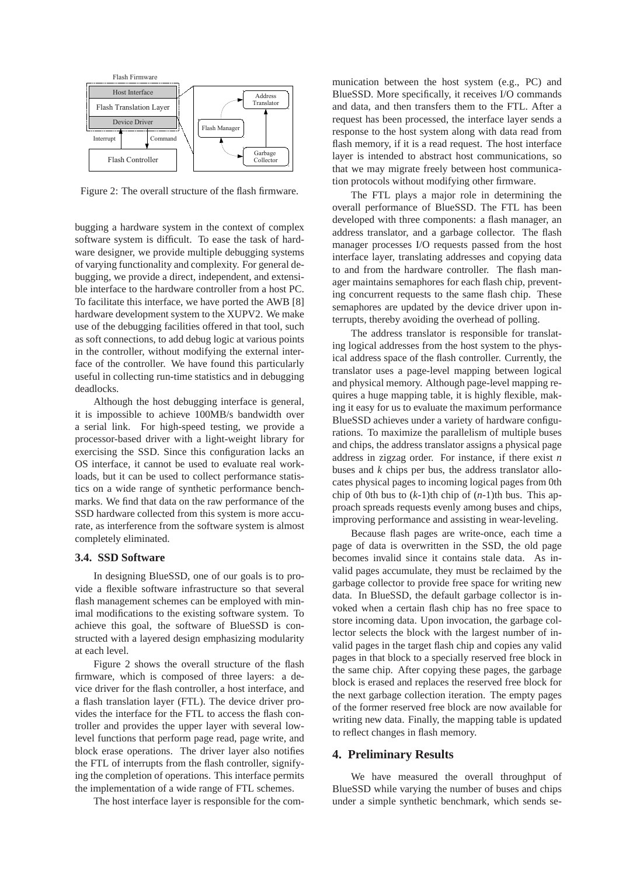

Figure 2: The overall structure of the flash firmware.

bugging a hardware system in the context of complex software system is difficult. To ease the task of hardware designer, we provide multiple debugging systems of varying functionality and complexity. For general debugging, we provide a direct, independent, and extensible interface to the hardware controller from a host PC. To facilitate this interface, we have ported the AWB [8] hardware development system to the XUPV2. We make use of the debugging facilities offered in that tool, such as soft connections, to add debug logic at various points in the controller, without modifying the external interface of the controller. We have found this particularly useful in collecting run-time statistics and in debugging deadlocks.

Although the host debugging interface is general, it is impossible to achieve 100MB/s bandwidth over a serial link. For high-speed testing, we provide a processor-based driver with a light-weight library for exercising the SSD. Since this configuration lacks an OS interface, it cannot be used to evaluate real workloads, but it can be used to collect performance statistics on a wide range of synthetic performance benchmarks. We find that data on the raw performance of the SSD hardware collected from this system is more accurate, as interference from the software system is almost completely eliminated.

#### **3.4. SSD Software**

In designing BlueSSD, one of our goals is to provide a flexible software infrastructure so that several flash management schemes can be employed with minimal modifications to the existing software system. To achieve this goal, the software of BlueSSD is constructed with a layered design emphasizing modularity at each level.

Figure 2 shows the overall structure of the flash firmware, which is composed of three layers: a device driver for the flash controller, a host interface, and a flash translation layer (FTL). The device driver provides the interface for the FTL to access the flash controller and provides the upper layer with several lowlevel functions that perform page read, page write, and block erase operations. The driver layer also notifies the FTL of interrupts from the flash controller, signifying the completion of operations. This interface permits the implementation of a wide range of FTL schemes.

The host interface layer is responsible for the com-

munication between the host system (e.g., PC) and BlueSSD. More specifically, it receives I/O commands and data, and then transfers them to the FTL. After a request has been processed, the interface layer sends a response to the host system along with data read from flash memory, if it is a read request. The host interface layer is intended to abstract host communications, so that we may migrate freely between host communication protocols without modifying other firmware.

The FTL plays a major role in determining the overall performance of BlueSSD. The FTL has been developed with three components: a flash manager, an address translator, and a garbage collector. The flash manager processes I/O requests passed from the host interface layer, translating addresses and copying data to and from the hardware controller. The flash manager maintains semaphores for each flash chip, preventing concurrent requests to the same flash chip. These semaphores are updated by the device driver upon interrupts, thereby avoiding the overhead of polling.

The address translator is responsible for translating logical addresses from the host system to the physical address space of the flash controller. Currently, the translator uses a page-level mapping between logical and physical memory. Although page-level mapping requires a huge mapping table, it is highly flexible, making it easy for us to evaluate the maximum performance BlueSSD achieves under a variety of hardware configurations. To maximize the parallelism of multiple buses and chips, the address translator assigns a physical page address in zigzag order. For instance, if there exist *n* buses and *k* chips per bus, the address translator allocates physical pages to incoming logical pages from 0th chip of 0th bus to  $(k-1)$ th chip of  $(n-1)$ th bus. This approach spreads requests evenly among buses and chips, improving performance and assisting in wear-leveling.

Because flash pages are write-once, each time a page of data is overwritten in the SSD, the old page becomes invalid since it contains stale data. As invalid pages accumulate, they must be reclaimed by the garbage collector to provide free space for writing new data. In BlueSSD, the default garbage collector is invoked when a certain flash chip has no free space to store incoming data. Upon invocation, the garbage collector selects the block with the largest number of invalid pages in the target flash chip and copies any valid pages in that block to a specially reserved free block in the same chip. After copying these pages, the garbage block is erased and replaces the reserved free block for the next garbage collection iteration. The empty pages of the former reserved free block are now available for writing new data. Finally, the mapping table is updated to reflect changes in flash memory.

#### **4. Preliminary Results**

We have measured the overall throughput of BlueSSD while varying the number of buses and chips under a simple synthetic benchmark, which sends se-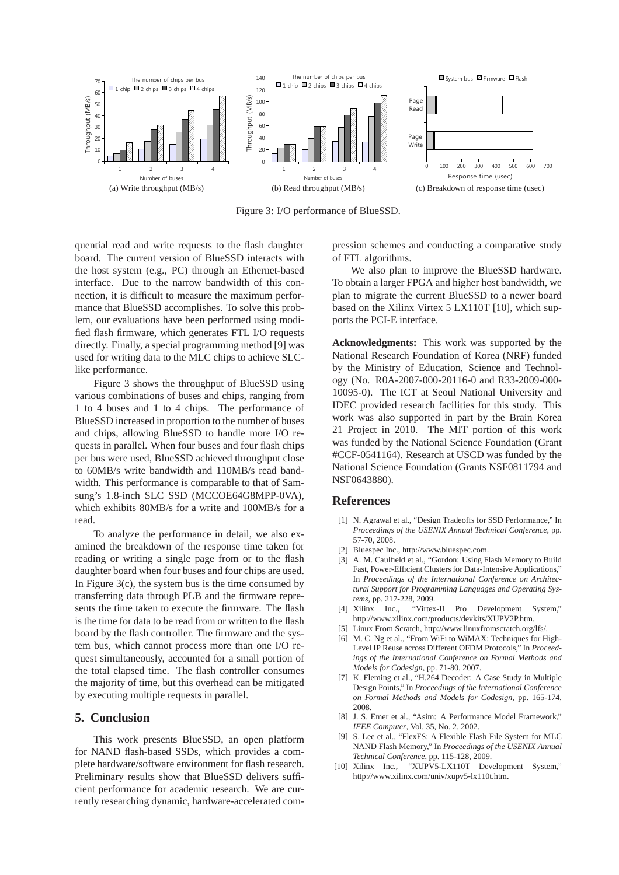

Figure 3: I/O performance of BlueSSD.

quential read and write requests to the flash daughter board. The current version of BlueSSD interacts with the host system (e.g., PC) through an Ethernet-based interface. Due to the narrow bandwidth of this connection, it is difficult to measure the maximum performance that BlueSSD accomplishes. To solve this problem, our evaluations have been performed using modified flash firmware, which generates FTL I/O requests directly. Finally, a special programming method [9] was used for writing data to the MLC chips to achieve SLClike performance.

Figure 3 shows the throughput of BlueSSD using various combinations of buses and chips, ranging from 1 to 4 buses and 1 to 4 chips. The performance of BlueSSD increased in proportion to the number of buses and chips, allowing BlueSSD to handle more I/O requests in parallel. When four buses and four flash chips per bus were used, BlueSSD achieved throughput close to 60MB/s write bandwidth and 110MB/s read bandwidth. This performance is comparable to that of Samsung's 1.8-inch SLC SSD (MCCOE64G8MPP-0VA), which exhibits 80MB/s for a write and 100MB/s for a read.

To analyze the performance in detail, we also examined the breakdown of the response time taken for reading or writing a single page from or to the flash daughter board when four buses and four chips are used. In Figure  $3(c)$ , the system bus is the time consumed by transferring data through PLB and the firmware represents the time taken to execute the firmware. The flash is the time for data to be read from or written to the flash board by the flash controller. The firmware and the system bus, which cannot process more than one I/O request simultaneously, accounted for a small portion of the total elapsed time. The flash controller consumes the majority of time, but this overhead can be mitigated by executing multiple requests in parallel.

#### **5. Conclusion**

This work presents BlueSSD, an open platform for NAND flash-based SSDs, which provides a complete hardware/software environment for flash research. Preliminary results show that BlueSSD delivers sufficient performance for academic research. We are currently researching dynamic, hardware-accelerated compression schemes and conducting a comparative study of FTL algorithms.

We also plan to improve the BlueSSD hardware. To obtain a larger FPGA and higher host bandwidth, we plan to migrate the current BlueSSD to a newer board based on the Xilinx Virtex 5 LX110T [10], which supports the PCI-E interface.

**Acknowledgments:** This work was supported by the National Research Foundation of Korea (NRF) funded by the Ministry of Education, Science and Technology (No. R0A-2007-000-20116-0 and R33-2009-000- 10095-0). The ICT at Seoul National University and IDEC provided research facilities for this study. This work was also supported in part by the Brain Korea 21 Project in 2010. The MIT portion of this work was funded by the National Science Foundation (Grant #CCF-0541164). Research at USCD was funded by the National Science Foundation (Grants NSF0811794 and NSF0643880).

#### **References**

- [1] N. Agrawal et al., "Design Tradeoffs for SSD Performance." In *Proceedings of the USENIX Annual Technical Conference*, pp. 57-70, 2008.
- [2] Bluespec Inc., http://www.bluespec.com.
- [3] A. M. Caulfield et al., "Gordon: Using Flash Memory to Build Fast, Power-Efficient Clusters for Data-Intensive Applications," In *Proceedings of the International Conference on Architectural Support for Programming Languages and Operating Systems*, pp. 217-228, 2009.
- [4] Xilinx Inc., "Virtex-II Pro Development System," http://www.xilinx.com/products/devkits/XUPV2P.htm.
- [5] Linux From Scratch, http://www.linuxfromscratch.org/lfs/.
- [6] M. C. Ng et al., "From WiFi to WiMAX: Techniques for High-Level IP Reuse across Different OFDM Protocols," In *Proceedings of the International Conference on Formal Methods and Models for Codesign*, pp. 71-80, 2007.
- [7] K. Fleming et al., "H.264 Decoder: A Case Study in Multiple Design Points," In *Proceedings of the International Conference on Formal Methods and Models for Codesign*, pp. 165-174, 2008.
- [8] J. S. Emer et al., "Asim: A Performance Model Framework," *IEEE Computer*, Vol. 35, No. 2, 2002.
- [9] S. Lee et al., "FlexFS: A Flexible Flash File System for MLC NAND Flash Memory," In *Proceedings of the USENIX Annual Technical Conference*, pp. 115-128, 2009.
- [10] Xilinx Inc., "XUPV5-LX110T Development System," http://www.xilinx.com/univ/xupv5-lx110t.htm.